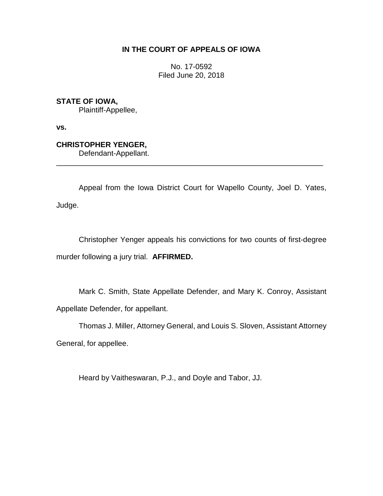# **IN THE COURT OF APPEALS OF IOWA**

No. 17-0592 Filed June 20, 2018

**STATE OF IOWA,**

Plaintiff-Appellee,

**vs.**

**CHRISTOPHER YENGER,**

Defendant-Appellant.

Appeal from the Iowa District Court for Wapello County, Joel D. Yates, Judge.

\_\_\_\_\_\_\_\_\_\_\_\_\_\_\_\_\_\_\_\_\_\_\_\_\_\_\_\_\_\_\_\_\_\_\_\_\_\_\_\_\_\_\_\_\_\_\_\_\_\_\_\_\_\_\_\_\_\_\_\_\_\_\_\_

Christopher Yenger appeals his convictions for two counts of first-degree murder following a jury trial. **AFFIRMED.**

Mark C. Smith, State Appellate Defender, and Mary K. Conroy, Assistant Appellate Defender, for appellant.

Thomas J. Miller, Attorney General, and Louis S. Sloven, Assistant Attorney General, for appellee.

Heard by Vaitheswaran, P.J., and Doyle and Tabor, JJ.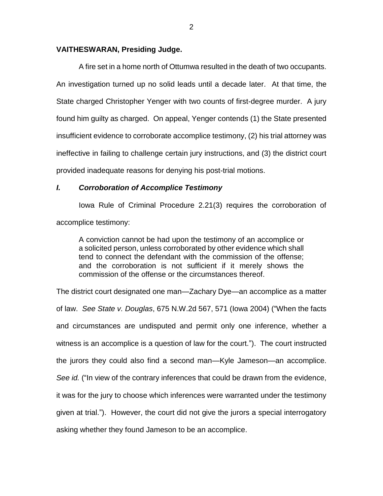### **VAITHESWARAN, Presiding Judge.**

A fire set in a home north of Ottumwa resulted in the death of two occupants. An investigation turned up no solid leads until a decade later. At that time, the State charged Christopher Yenger with two counts of first-degree murder. A jury found him guilty as charged. On appeal, Yenger contends (1) the State presented insufficient evidence to corroborate accomplice testimony, (2) his trial attorney was ineffective in failing to challenge certain jury instructions, and (3) the district court provided inadequate reasons for denying his post-trial motions.

# *I. Corroboration of Accomplice Testimony*

Iowa Rule of Criminal Procedure 2.21(3) requires the corroboration of accomplice testimony:

A conviction cannot be had upon the testimony of an accomplice or a solicited person, unless corroborated by other evidence which shall tend to connect the defendant with the commission of the offense; and the corroboration is not sufficient if it merely shows the commission of the offense or the circumstances thereof.

The district court designated one man—Zachary Dye—an accomplice as a matter of law. *See State v. Douglas*, 675 N.W.2d 567, 571 (Iowa 2004) ("When the facts and circumstances are undisputed and permit only one inference, whether a witness is an accomplice is a question of law for the court."). The court instructed the jurors they could also find a second man—Kyle Jameson—an accomplice. *See id.* ("In view of the contrary inferences that could be drawn from the evidence, it was for the jury to choose which inferences were warranted under the testimony given at trial."). However, the court did not give the jurors a special interrogatory asking whether they found Jameson to be an accomplice.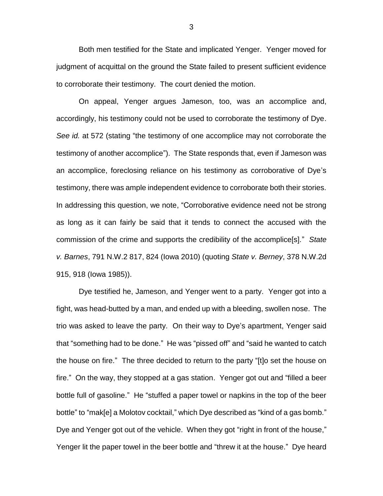Both men testified for the State and implicated Yenger. Yenger moved for judgment of acquittal on the ground the State failed to present sufficient evidence to corroborate their testimony. The court denied the motion.

On appeal, Yenger argues Jameson, too, was an accomplice and, accordingly, his testimony could not be used to corroborate the testimony of Dye. *See id.* at 572 (stating "the testimony of one accomplice may not corroborate the testimony of another accomplice"). The State responds that, even if Jameson was an accomplice, foreclosing reliance on his testimony as corroborative of Dye's testimony, there was ample independent evidence to corroborate both their stories. In addressing this question, we note, "Corroborative evidence need not be strong as long as it can fairly be said that it tends to connect the accused with the commission of the crime and supports the credibility of the accomplice[s]." *State v. Barnes*, 791 N.W.2 817, 824 (Iowa 2010) (quoting *State v. Berney*, 378 N.W.2d 915, 918 (Iowa 1985)).

Dye testified he, Jameson, and Yenger went to a party. Yenger got into a fight, was head-butted by a man, and ended up with a bleeding, swollen nose. The trio was asked to leave the party. On their way to Dye's apartment, Yenger said that "something had to be done." He was "pissed off" and "said he wanted to catch the house on fire." The three decided to return to the party "[t]o set the house on fire." On the way, they stopped at a gas station. Yenger got out and "filled a beer bottle full of gasoline." He "stuffed a paper towel or napkins in the top of the beer bottle" to "mak[e] a Molotov cocktail," which Dye described as "kind of a gas bomb." Dye and Yenger got out of the vehicle. When they got "right in front of the house," Yenger lit the paper towel in the beer bottle and "threw it at the house." Dye heard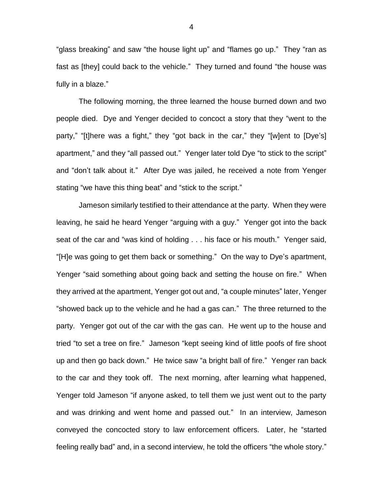"glass breaking" and saw "the house light up" and "flames go up." They "ran as fast as [they] could back to the vehicle." They turned and found "the house was fully in a blaze."

The following morning, the three learned the house burned down and two people died. Dye and Yenger decided to concoct a story that they "went to the party," "[t]here was a fight," they "got back in the car," they "[w]ent to [Dye's] apartment," and they "all passed out." Yenger later told Dye "to stick to the script" and "don't talk about it." After Dye was jailed, he received a note from Yenger stating "we have this thing beat" and "stick to the script."

Jameson similarly testified to their attendance at the party. When they were leaving, he said he heard Yenger "arguing with a guy." Yenger got into the back seat of the car and "was kind of holding . . . his face or his mouth." Yenger said, "[H]e was going to get them back or something." On the way to Dye's apartment, Yenger "said something about going back and setting the house on fire." When they arrived at the apartment, Yenger got out and, "a couple minutes" later, Yenger "showed back up to the vehicle and he had a gas can." The three returned to the party. Yenger got out of the car with the gas can. He went up to the house and tried "to set a tree on fire." Jameson "kept seeing kind of little poofs of fire shoot up and then go back down." He twice saw "a bright ball of fire." Yenger ran back to the car and they took off. The next morning, after learning what happened, Yenger told Jameson "if anyone asked, to tell them we just went out to the party and was drinking and went home and passed out." In an interview, Jameson conveyed the concocted story to law enforcement officers. Later, he "started feeling really bad" and, in a second interview, he told the officers "the whole story."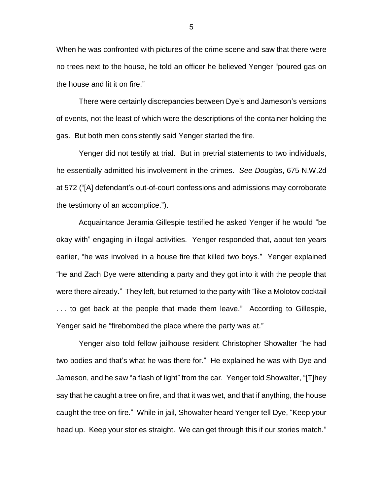When he was confronted with pictures of the crime scene and saw that there were no trees next to the house, he told an officer he believed Yenger "poured gas on the house and lit it on fire."

There were certainly discrepancies between Dye's and Jameson's versions of events, not the least of which were the descriptions of the container holding the gas. But both men consistently said Yenger started the fire.

Yenger did not testify at trial. But in pretrial statements to two individuals, he essentially admitted his involvement in the crimes. *See Douglas*, 675 N.W.2d at 572 ("[A] defendant's out-of-court confessions and admissions may corroborate the testimony of an accomplice.").

Acquaintance Jeramia Gillespie testified he asked Yenger if he would "be okay with" engaging in illegal activities. Yenger responded that, about ten years earlier, "he was involved in a house fire that killed two boys." Yenger explained "he and Zach Dye were attending a party and they got into it with the people that were there already." They left, but returned to the party with "like a Molotov cocktail . . . to get back at the people that made them leave." According to Gillespie, Yenger said he "firebombed the place where the party was at."

Yenger also told fellow jailhouse resident Christopher Showalter "he had two bodies and that's what he was there for." He explained he was with Dye and Jameson, and he saw "a flash of light" from the car. Yenger told Showalter, "[T]hey say that he caught a tree on fire, and that it was wet, and that if anything, the house caught the tree on fire." While in jail, Showalter heard Yenger tell Dye, "Keep your head up. Keep your stories straight. We can get through this if our stories match."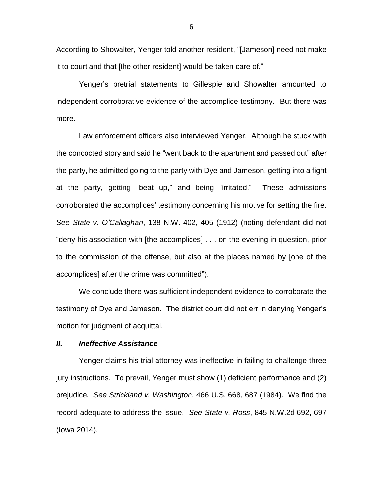According to Showalter, Yenger told another resident, "[Jameson] need not make it to court and that [the other resident] would be taken care of."

Yenger's pretrial statements to Gillespie and Showalter amounted to independent corroborative evidence of the accomplice testimony. But there was more.

Law enforcement officers also interviewed Yenger. Although he stuck with the concocted story and said he "went back to the apartment and passed out" after the party, he admitted going to the party with Dye and Jameson, getting into a fight at the party, getting "beat up," and being "irritated." These admissions corroborated the accomplices' testimony concerning his motive for setting the fire. *See State v. O'Callaghan*, 138 N.W. 402, 405 (1912) (noting defendant did not "deny his association with [the accomplices] . . . on the evening in question, prior to the commission of the offense, but also at the places named by [one of the accomplices] after the crime was committed").

We conclude there was sufficient independent evidence to corroborate the testimony of Dye and Jameson. The district court did not err in denying Yenger's motion for judgment of acquittal.

# *II. Ineffective Assistance*

Yenger claims his trial attorney was ineffective in failing to challenge three jury instructions. To prevail, Yenger must show (1) deficient performance and (2) prejudice. *See Strickland v. Washington*, 466 U.S. 668, 687 (1984). We find the record adequate to address the issue. *See State v. Ross*, 845 N.W.2d 692, 697 (Iowa 2014).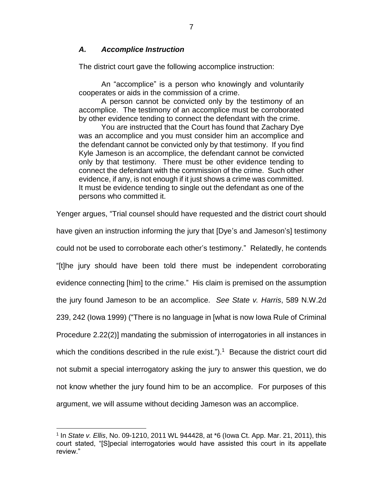# *A. Accomplice Instruction*

The district court gave the following accomplice instruction:

An "accomplice" is a person who knowingly and voluntarily cooperates or aids in the commission of a crime.

A person cannot be convicted only by the testimony of an accomplice. The testimony of an accomplice must be corroborated by other evidence tending to connect the defendant with the crime.

You are instructed that the Court has found that Zachary Dye was an accomplice and you must consider him an accomplice and the defendant cannot be convicted only by that testimony. If you find Kyle Jameson is an accomplice, the defendant cannot be convicted only by that testimony. There must be other evidence tending to connect the defendant with the commission of the crime. Such other evidence, if any, is not enough if it just shows a crime was committed. It must be evidence tending to single out the defendant as one of the persons who committed it.

Yenger argues, "Trial counsel should have requested and the district court should have given an instruction informing the jury that [Dye's and Jameson's] testimony could not be used to corroborate each other's testimony." Relatedly, he contends "[t]he jury should have been told there must be independent corroborating evidence connecting [him] to the crime." His claim is premised on the assumption the jury found Jameson to be an accomplice. *See State v. Harris*, 589 N.W.2d 239, 242 (Iowa 1999) ("There is no language in [what is now Iowa Rule of Criminal Procedure 2.22(2)] mandating the submission of interrogatories in all instances in which the conditions described in the rule exist.").<sup>1</sup> Because the district court did not submit a special interrogatory asking the jury to answer this question, we do not know whether the jury found him to be an accomplice. For purposes of this argument, we will assume without deciding Jameson was an accomplice.

 $\overline{a}$ 

<sup>1</sup> In *State v. Ellis*, No. 09-1210, 2011 WL 944428, at \*6 (Iowa Ct. App. Mar. 21, 2011), this court stated, "[S]pecial interrogatories would have assisted this court in its appellate review."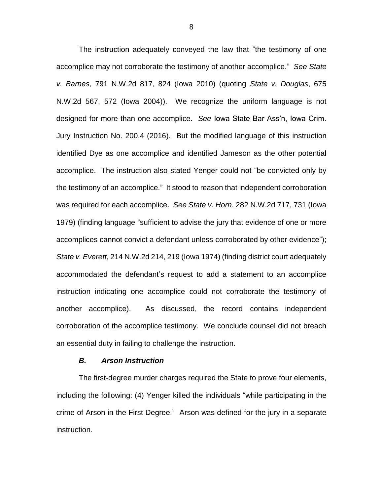The instruction adequately conveyed the law that "the testimony of one accomplice may not corroborate the testimony of another accomplice." *See State v. Barnes*, 791 N.W.2d 817, 824 (Iowa 2010) (quoting *State v. Douglas*, 675 N.W.2d 567, 572 (Iowa 2004)). We recognize the uniform language is not designed for more than one accomplice. *See* Iowa State Bar Ass'n, Iowa Crim. Jury Instruction No. 200.4 (2016). But the modified language of this instruction identified Dye as one accomplice and identified Jameson as the other potential accomplice. The instruction also stated Yenger could not "be convicted only by the testimony of an accomplice." It stood to reason that independent corroboration was required for each accomplice. *See State v. Horn*, 282 N.W.2d 717, 731 (Iowa 1979) (finding language "sufficient to advise the jury that evidence of one or more accomplices cannot convict a defendant unless corroborated by other evidence"); *State v. Everett*, 214 N.W.2d 214, 219 (Iowa 1974) (finding district court adequately accommodated the defendant's request to add a statement to an accomplice instruction indicating one accomplice could not corroborate the testimony of another accomplice). As discussed, the record contains independent corroboration of the accomplice testimony. We conclude counsel did not breach an essential duty in failing to challenge the instruction.

#### *B. Arson Instruction*

The first-degree murder charges required the State to prove four elements, including the following: (4) Yenger killed the individuals "while participating in the crime of Arson in the First Degree." Arson was defined for the jury in a separate instruction.

8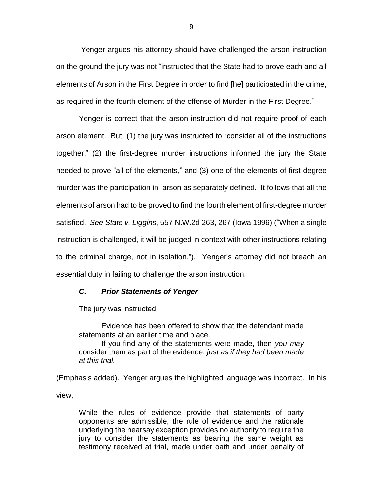Yenger argues his attorney should have challenged the arson instruction on the ground the jury was not "instructed that the State had to prove each and all elements of Arson in the First Degree in order to find [he] participated in the crime, as required in the fourth element of the offense of Murder in the First Degree."

Yenger is correct that the arson instruction did not require proof of each arson element. But (1) the jury was instructed to "consider all of the instructions together," (2) the first-degree murder instructions informed the jury the State needed to prove "all of the elements," and (3) one of the elements of first-degree murder was the participation in arson as separately defined. It follows that all the elements of arson had to be proved to find the fourth element of first-degree murder satisfied. *See State v. Liggins*, 557 N.W.2d 263, 267 (Iowa 1996) ("When a single instruction is challenged, it will be judged in context with other instructions relating to the criminal charge, not in isolation."). Yenger's attorney did not breach an essential duty in failing to challenge the arson instruction.

### *C. Prior Statements of Yenger*

The jury was instructed

Evidence has been offered to show that the defendant made statements at an earlier time and place.

If you find any of the statements were made, then *you may* consider them as part of the evidence, *just as if they had been made at this trial.*

(Emphasis added). Yenger argues the highlighted language was incorrect. In his view,

While the rules of evidence provide that statements of party opponents are admissible, the rule of evidence and the rationale underlying the hearsay exception provides no authority to require the jury to consider the statements as bearing the same weight as testimony received at trial, made under oath and under penalty of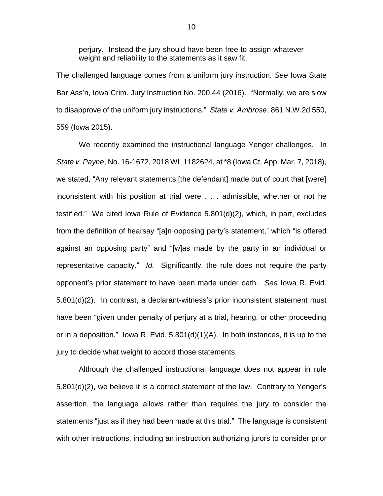perjury. Instead the jury should have been free to assign whatever weight and reliability to the statements as it saw fit.

The challenged language comes from a uniform jury instruction. *See* Iowa State Bar Ass'n, Iowa Crim. Jury Instruction No. 200.44 (2016). "Normally, we are slow to disapprove of the uniform jury instructions." *State v. Ambrose*, 861 N.W.2d 550, 559 (Iowa 2015).

We recently examined the instructional language Yenger challenges. In *State v. Payne*, No. 16-1672, 2018 WL 1182624, at \*8 (Iowa Ct. App. Mar. 7, 2018), we stated, "Any relevant statements [the defendant] made out of court that [were] inconsistent with his position at trial were . . . admissible, whether or not he testified." We cited Iowa Rule of Evidence 5.801(d)(2), which, in part, excludes from the definition of hearsay "[a]n opposing party's statement," which "is offered against an opposing party" and "[w]as made by the party in an individual or representative capacity." *Id.* Significantly, the rule does not require the party opponent's prior statement to have been made under oath. *See* Iowa R. Evid. 5.801(d)(2). In contrast, a declarant-witness's prior inconsistent statement must have been "given under penalty of perjury at a trial, hearing, or other proceeding or in a deposition." Iowa R. Evid.  $5.801(d)(1)(A)$ . In both instances, it is up to the jury to decide what weight to accord those statements.

Although the challenged instructional language does not appear in rule 5.801(d)(2), we believe it is a correct statement of the law. Contrary to Yenger's assertion, the language allows rather than requires the jury to consider the statements "just as if they had been made at this trial." The language is consistent with other instructions, including an instruction authorizing jurors to consider prior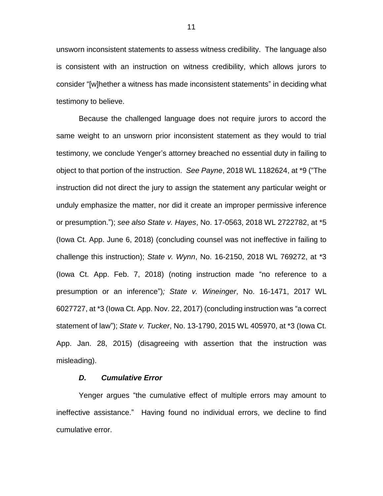unsworn inconsistent statements to assess witness credibility. The language also is consistent with an instruction on witness credibility, which allows jurors to consider "[w]hether a witness has made inconsistent statements" in deciding what testimony to believe.

Because the challenged language does not require jurors to accord the same weight to an unsworn prior inconsistent statement as they would to trial testimony, we conclude Yenger's attorney breached no essential duty in failing to object to that portion of the instruction. *See Payne*, 2018 WL 1182624, at \*9 ("The instruction did not direct the jury to assign the statement any particular weight or unduly emphasize the matter, nor did it create an improper permissive inference or presumption."); *see also State v. Hayes*, No. 17-0563, 2018 WL 2722782, at \*5 (Iowa Ct. App. June 6, 2018) (concluding counsel was not ineffective in failing to challenge this instruction); *State v. Wynn*, No. 16-2150, 2018 WL 769272, at \*3 (Iowa Ct. App. Feb. 7, 2018) (noting instruction made "no reference to a presumption or an inference")*; State v. Wineinger*, No. 16-1471, 2017 WL 6027727, at \*3 (Iowa Ct. App. Nov. 22, 2017) (concluding instruction was "a correct statement of law"); *State v. Tucker*, No. 13-1790, 2015 WL 405970, at \*3 (Iowa Ct. App. Jan. 28, 2015) (disagreeing with assertion that the instruction was misleading).

#### *D. Cumulative Error*

Yenger argues "the cumulative effect of multiple errors may amount to ineffective assistance." Having found no individual errors, we decline to find cumulative error.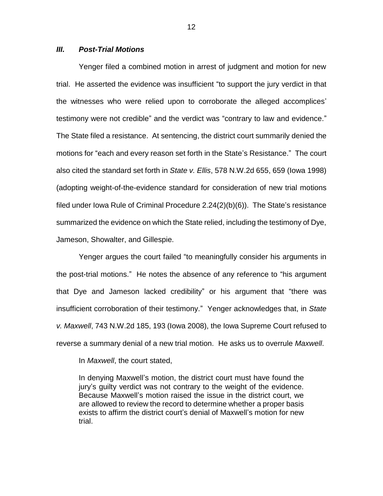### *III. Post-Trial Motions*

Yenger filed a combined motion in arrest of judgment and motion for new trial. He asserted the evidence was insufficient "to support the jury verdict in that the witnesses who were relied upon to corroborate the alleged accomplices' testimony were not credible" and the verdict was "contrary to law and evidence." The State filed a resistance. At sentencing, the district court summarily denied the motions for "each and every reason set forth in the State's Resistance." The court also cited the standard set forth in *State v. Ellis*, 578 N.W.2d 655, 659 (Iowa 1998) (adopting weight-of-the-evidence standard for consideration of new trial motions filed under Iowa Rule of Criminal Procedure 2.24(2)(b)(6)). The State's resistance summarized the evidence on which the State relied, including the testimony of Dye, Jameson, Showalter, and Gillespie.

Yenger argues the court failed "to meaningfully consider his arguments in the post-trial motions." He notes the absence of any reference to "his argument that Dye and Jameson lacked credibility" or his argument that "there was insufficient corroboration of their testimony." Yenger acknowledges that, in *State v. Maxwell*, 743 N.W.2d 185, 193 (Iowa 2008), the Iowa Supreme Court refused to reverse a summary denial of a new trial motion. He asks us to overrule *Maxwell*.

In *Maxwell*, the court stated,

In denying Maxwell's motion, the district court must have found the jury's guilty verdict was not contrary to the weight of the evidence. Because Maxwell's motion raised the issue in the district court, we are allowed to review the record to determine whether a proper basis exists to affirm the district court's denial of Maxwell's motion for new trial.

12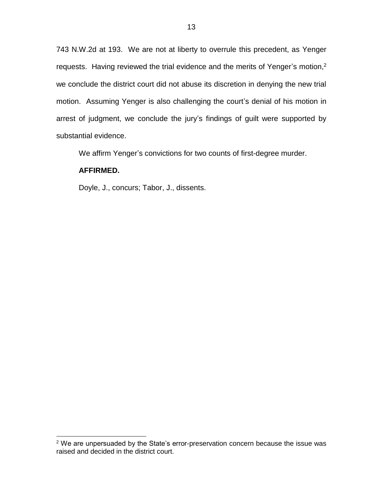743 N.W.2d at 193. We are not at liberty to overrule this precedent, as Yenger requests. Having reviewed the trial evidence and the merits of Yenger's motion, $2$ we conclude the district court did not abuse its discretion in denying the new trial motion. Assuming Yenger is also challenging the court's denial of his motion in arrest of judgment, we conclude the jury's findings of guilt were supported by substantial evidence.

We affirm Yenger's convictions for two counts of first-degree murder.

# **AFFIRMED.**

 $\overline{a}$ 

Doyle, J., concurs; Tabor, J., dissents.

<sup>2</sup> We are unpersuaded by the State's error-preservation concern because the issue was raised and decided in the district court.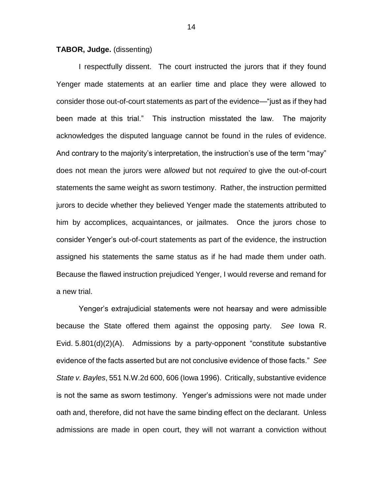#### **TABOR, Judge.** (dissenting)

I respectfully dissent. The court instructed the jurors that if they found Yenger made statements at an earlier time and place they were allowed to consider those out-of-court statements as part of the evidence—"just as if they had been made at this trial." This instruction misstated the law. The majority acknowledges the disputed language cannot be found in the rules of evidence. And contrary to the majority's interpretation, the instruction's use of the term "may" does not mean the jurors were *allowed* but not *required* to give the out-of-court statements the same weight as sworn testimony. Rather, the instruction permitted jurors to decide whether they believed Yenger made the statements attributed to him by accomplices, acquaintances, or jailmates. Once the jurors chose to consider Yenger's out-of-court statements as part of the evidence, the instruction assigned his statements the same status as if he had made them under oath. Because the flawed instruction prejudiced Yenger, I would reverse and remand for a new trial.

Yenger's extrajudicial statements were not hearsay and were admissible because the State offered them against the opposing party. *See* Iowa R. Evid. 5.801(d)(2)(A). Admissions by a party-opponent "constitute substantive evidence of the facts asserted but are not conclusive evidence of those facts." *See State v. Bayles*, 551 N.W.2d 600, 606 (Iowa 1996). Critically, substantive evidence is not the same as sworn testimony. Yenger's admissions were not made under oath and, therefore, did not have the same binding effect on the declarant. Unless admissions are made in open court, they will not warrant a conviction without

14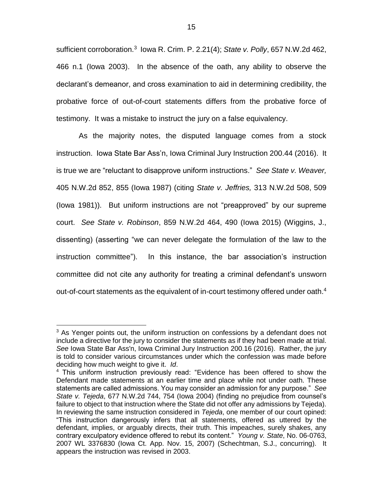sufficient corroboration.<sup>3</sup> Iowa R. Crim. P. 2.21(4); State v. Polly, 657 N.W.2d 462, 466 n.1 (Iowa 2003). In the absence of the oath, any ability to observe the declarant's demeanor, and cross examination to aid in determining credibility, the probative force of out-of-court statements differs from the probative force of testimony. It was a mistake to instruct the jury on a false equivalency.

As the majority notes, the disputed language comes from a stock instruction. Iowa State Bar Ass'n, Iowa Criminal Jury Instruction 200.44 (2016). It is true we are "reluctant to disapprove uniform instructions." *See State v. Weaver,* 405 N.W.2d 852, 855 (Iowa 1987) (citing *State v. Jeffries,* 313 N.W.2d 508, 509 (Iowa 1981)). But uniform instructions are not "preapproved" by our supreme court. *See State v. Robinson*, 859 N.W.2d 464, 490 (Iowa 2015) (Wiggins, J., dissenting) (asserting "we can never delegate the formulation of the law to the instruction committee"). In this instance, the bar association's instruction committee did not cite any authority for treating a criminal defendant's unsworn out-of-court statements as the equivalent of in-court testimony offered under oath.<sup>4</sup>

 $\overline{a}$ <sup>3</sup> As Yenger points out, the uniform instruction on confessions by a defendant does not include a directive for the jury to consider the statements as if they had been made at trial. *See* Iowa State Bar Ass'n, Iowa Criminal Jury Instruction 200.16 (2016). Rather, the jury is told to consider various circumstances under which the confession was made before deciding how much weight to give it. *Id*.

<sup>4</sup> This uniform instruction previously read: "Evidence has been offered to show the Defendant made statements at an earlier time and place while not under oath. These statements are called admissions. You may consider an admission for any purpose." *See State v. Tejeda*, 677 N.W.2d 744, 754 (Iowa 2004) (finding no prejudice from counsel's failure to object to that instruction where the State did not offer any admissions by Tejeda). In reviewing the same instruction considered in *Tejeda*, one member of our court opined: "This instruction dangerously infers that all statements, offered as uttered by the defendant, implies, or arguably directs, their truth. This impeaches, surely shakes, any contrary exculpatory evidence offered to rebut its content." *Young v. State*, No. 06-0763, 2007 WL 3376830 (Iowa Ct. App. Nov. 15, 2007) (Schechtman, S.J., concurring). It appears the instruction was revised in 2003.